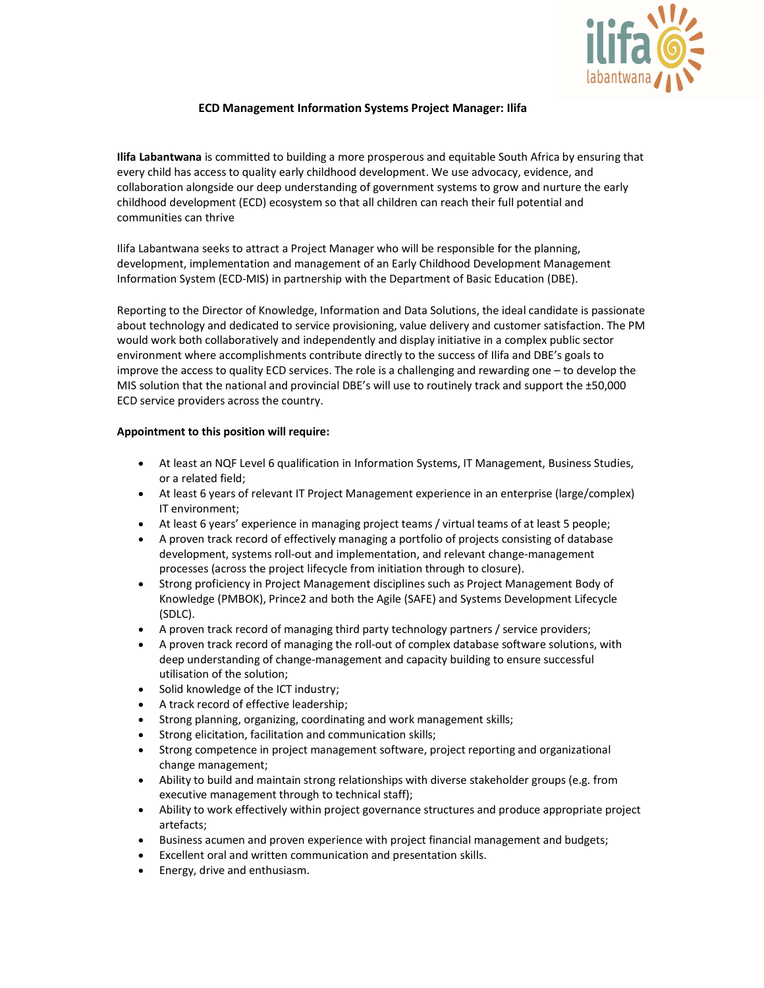

# ECD Management Information Systems Project Manager: Ilifa

Ilifa Labantwana is committed to building a more prosperous and equitable South Africa by ensuring that every child has access to quality early childhood development. We use advocacy, evidence, and collaboration alongside our deep understanding of government systems to grow and nurture the early childhood development (ECD) ecosystem so that all children can reach their full potential and communities can thrive

Ilifa Labantwana seeks to attract a Project Manager who will be responsible for the planning, development, implementation and management of an Early Childhood Development Management Information System (ECD-MIS) in partnership with the Department of Basic Education (DBE).

Reporting to the Director of Knowledge, Information and Data Solutions, the ideal candidate is passionate about technology and dedicated to service provisioning, value delivery and customer satisfaction. The PM would work both collaboratively and independently and display initiative in a complex public sector environment where accomplishments contribute directly to the success of Ilifa and DBE's goals to improve the access to quality ECD services. The role is a challenging and rewarding one – to develop the MIS solution that the national and provincial DBE's will use to routinely track and support the ±50,000 ECD service providers across the country.

# Appointment to this position will require:

- At least an NQF Level 6 qualification in Information Systems, IT Management, Business Studies, or a related field;
- At least 6 years of relevant IT Project Management experience in an enterprise (large/complex) IT environment;
- At least 6 years' experience in managing project teams / virtual teams of at least 5 people;
- A proven track record of effectively managing a portfolio of projects consisting of database development, systems roll-out and implementation, and relevant change-management processes (across the project lifecycle from initiation through to closure).
- Strong proficiency in Project Management disciplines such as Project Management Body of Knowledge (PMBOK), Prince2 and both the Agile (SAFE) and Systems Development Lifecycle (SDLC).
- A proven track record of managing third party technology partners / service providers;
- A proven track record of managing the roll-out of complex database software solutions, with deep understanding of change-management and capacity building to ensure successful utilisation of the solution;
- Solid knowledge of the ICT industry;
- A track record of effective leadership;
- Strong planning, organizing, coordinating and work management skills;
- Strong elicitation, facilitation and communication skills;
- Strong competence in project management software, project reporting and organizational change management;
- Ability to build and maintain strong relationships with diverse stakeholder groups (e.g. from executive management through to technical staff);
- Ability to work effectively within project governance structures and produce appropriate project artefacts;
- Business acumen and proven experience with project financial management and budgets;
- Excellent oral and written communication and presentation skills.
- Energy, drive and enthusiasm.